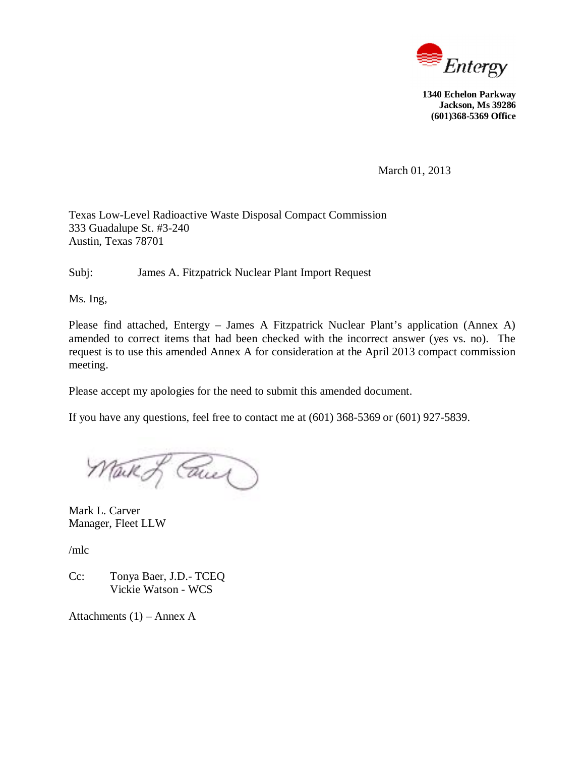

**1340 Echelon Parkway Jackson, Ms 39286 (601)368-5369 Office**

March 01, 2013

Texas Low-Level Radioactive Waste Disposal Compact Commission 333 Guadalupe St. #3-240 Austin, Texas 78701

Subj: James A. Fitzpatrick Nuclear Plant Import Request

Ms. Ing,

Please find attached, Entergy – James A Fitzpatrick Nuclear Plant's application (Annex A) amended to correct items that had been checked with the incorrect answer (yes vs. no). The request is to use this amended Annex A for consideration at the April 2013 compact commission meeting.

Please accept my apologies for the need to submit this amended document.

If you have any questions, feel free to contact me at (601) 368-5369 or (601) 927-5839.

Mark of Cause

Mark L. Carver Manager, Fleet LLW

/mlc

Cc: Tonya Baer, J.D.- TCEQ Vickie Watson - WCS

Attachments  $(1)$  – Annex A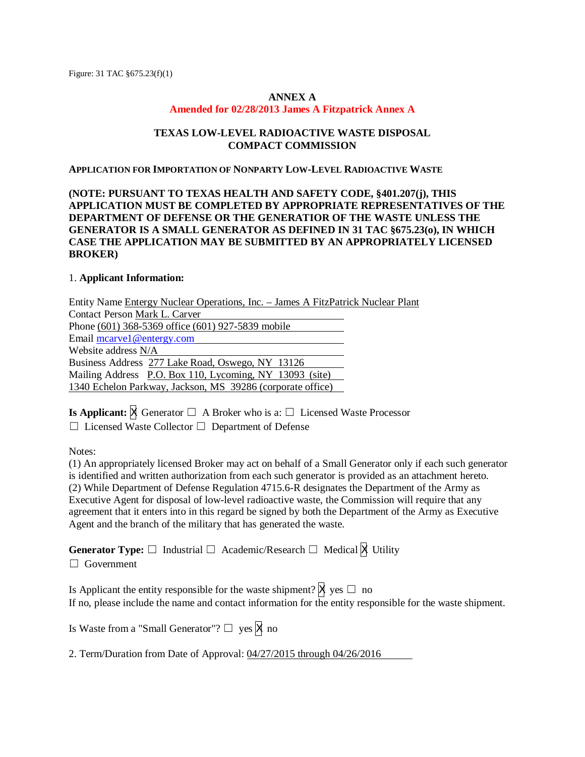#### **ANNEX A**

#### **Amended for 02/28/2013 James A Fitzpatrick Annex A**

### **TEXAS LOW-LEVEL RADIOACTIVE WASTE DISPOSAL COMPACT COMMISSION**

#### **APPLICATION FOR IMPORTATION OF NONPARTY LOW-LEVEL RADIOACTIVE WASTE**

## **(NOTE: PURSUANT TO TEXAS HEALTH AND SAFETY CODE, §401.207(j), THIS APPLICATION MUST BE COMPLETED BY APPROPRIATE REPRESENTATIVES OF THE DEPARTMENT OF DEFENSE OR THE GENERATIOR OF THE WASTE UNLESS THE GENERATOR IS A SMALL GENERATOR AS DEFINED IN 31 TAC §675.23(o), IN WHICH CASE THE APPLICATION MAY BE SUBMITTED BY AN APPROPRIATELY LICENSED BROKER)**

## 1. **Applicant Information:**

Entity Name Entergy Nuclear Operations, Inc. – James A FitzPatrick Nuclear Plant Contact Person Mark L. Carver Phone (601) 368-5369 office (601) 927-5839 mobile Email mcarve1@entergy.com Website address N/A Business Address 277 Lake Road, Oswego, NY 13126 Mailing Address P.O. Box 110, Lycoming, NY 13093 (site) 1340 Echelon Parkway, Jackson, MS 39286 (corporate office)

**Is Applicant:**  $\overline{X}$  Generator  $\Box$  A Broker who is a:  $\Box$  Licensed Waste Processor

 $\Box$  Licensed Waste Collector  $\Box$  Department of Defense

Notes:

(1) An appropriately licensed Broker may act on behalf of a Small Generator only if each such generator is identified and written authorization from each such generator is provided as an attachment hereto. (2) While Department of Defense Regulation 4715.6-R designates the Department of the Army as Executive Agent for disposal of low-level radioactive waste, the Commission will require that any agreement that it enters into in this regard be signed by both the Department of the Army as Executive Agent and the branch of the military that has generated the waste.

**Generator Type:**  $\Box$  Industrial  $\Box$  Academic/Research  $\Box$  Medical  $\boxtimes$  Utility

 $\Box$  Government

Is Applicant the entity responsible for the waste shipment?  $\mathbb{X}$  yes  $\Box$  no If no, please include the name and contact information for the entity responsible for the waste shipment.

Is Waste from a "Small Generator"?  $\Box$  yes  $\overline{X}$  no

2. Term/Duration from Date of Approval: 04/27/2015 through 04/26/2016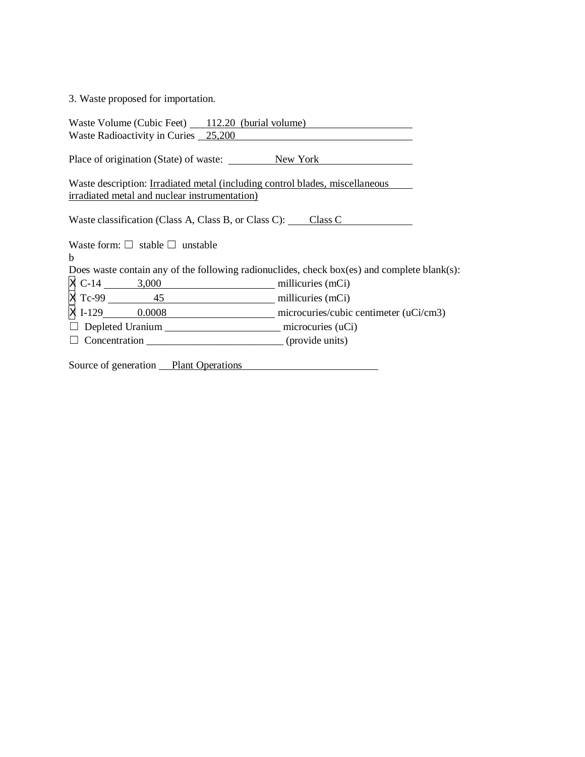# 3. Waste proposed for importation.

| Waste Volume (Cubic Feet) 112.20 (burial volume)<br>Waste Radioactivity in Curies 25,200                                             |  |
|--------------------------------------------------------------------------------------------------------------------------------------|--|
|                                                                                                                                      |  |
| Place of origination (State) of waste: New York New York                                                                             |  |
| Waste description: <u>Irradiated metal (including control blades, miscellaneous</u><br>irradiated metal and nuclear instrumentation) |  |
| Waste classification (Class A, Class B, or Class C): Class C                                                                         |  |
| Waste form: $\Box$ stable $\Box$ unstable                                                                                            |  |
| b                                                                                                                                    |  |
| Does waste contain any of the following radionuclides, check box(es) and complete blank(s):                                          |  |
|                                                                                                                                      |  |
| X C-14 3,000<br>X Tc-99 45 millicuries (mCi)<br>X 1-129 0.0008 microcuries/cubic centimeter (uCi/cm3)                                |  |
|                                                                                                                                      |  |
|                                                                                                                                      |  |
|                                                                                                                                      |  |
| Source of generation Plant Operations                                                                                                |  |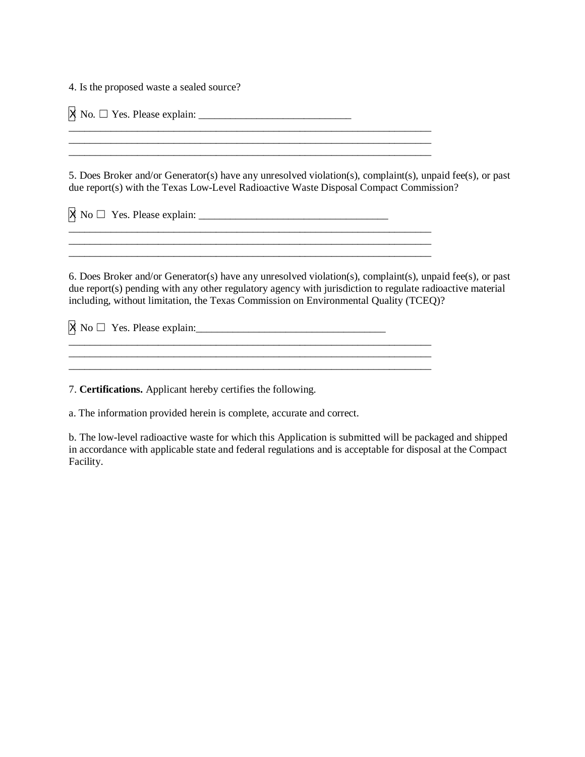4. Is the proposed waste a sealed source?

X No. ܆ Yes. Please explain: \_\_\_\_\_\_\_\_\_\_\_\_\_\_\_\_\_\_\_\_\_\_\_\_\_\_\_\_\_

\_\_\_\_\_\_\_\_\_\_\_\_\_\_\_\_\_\_\_\_\_\_\_\_\_\_\_\_\_\_\_\_\_\_\_\_\_\_\_\_\_\_\_\_\_\_\_\_\_\_\_\_\_\_\_\_\_\_\_\_\_\_\_\_\_\_\_\_\_

\_\_\_\_\_\_\_\_\_\_\_\_\_\_\_\_\_\_\_\_\_\_\_\_\_\_\_\_\_\_\_\_\_\_\_\_\_\_\_\_\_\_\_\_\_\_\_\_\_\_\_\_\_\_\_\_\_\_\_\_\_\_\_\_\_\_\_\_\_

 $\overline{\phantom{a}}$  , and the state of the state of the state of the state of the state of the state of the state of the state of the state of the state of the state of the state of the state of the state of the state of the stat

\_\_\_\_\_\_\_\_\_\_\_\_\_\_\_\_\_\_\_\_\_\_\_\_\_\_\_\_\_\_\_\_\_\_\_\_\_\_\_\_\_\_\_\_\_\_\_\_\_\_\_\_\_\_\_\_\_\_\_\_\_\_\_\_\_\_\_\_\_

5. Does Broker and/or Generator(s) have any unresolved violation(s), complaint(s), unpaid fee(s), or past due report(s) with the Texas Low-Level Radioactive Waste Disposal Compact Commission?

X No ܆ Yes. Please explain: \_\_\_\_\_\_\_\_\_\_\_\_\_\_\_\_\_\_\_\_\_\_\_\_\_\_\_\_\_\_\_\_\_\_\_\_

 $\frac{1}{2}$  ,  $\frac{1}{2}$  ,  $\frac{1}{2}$  ,  $\frac{1}{2}$  ,  $\frac{1}{2}$  ,  $\frac{1}{2}$  ,  $\frac{1}{2}$  ,  $\frac{1}{2}$  ,  $\frac{1}{2}$  ,  $\frac{1}{2}$  ,  $\frac{1}{2}$  ,  $\frac{1}{2}$  ,  $\frac{1}{2}$  ,  $\frac{1}{2}$  ,  $\frac{1}{2}$  ,  $\frac{1}{2}$  ,  $\frac{1}{2}$  ,  $\frac{1}{2}$  ,  $\frac{1$ 

6. Does Broker and/or Generator(s) have any unresolved violation(s), complaint(s), unpaid fee(s), or past due report(s) pending with any other regulatory agency with jurisdiction to regulate radioactive material including, without limitation, the Texas Commission on Environmental Quality (TCEQ)?

X No ܆ Yes. Please explain:\_\_\_\_\_\_\_\_\_\_\_\_\_\_\_\_\_\_\_\_\_\_\_\_\_\_\_\_\_\_\_\_\_\_\_\_

7. **Certifications.** Applicant hereby certifies the following.

a. The information provided herein is complete, accurate and correct.

b. The low-level radioactive waste for which this Application is submitted will be packaged and shipped in accordance with applicable state and federal regulations and is acceptable for disposal at the Compact Facility.